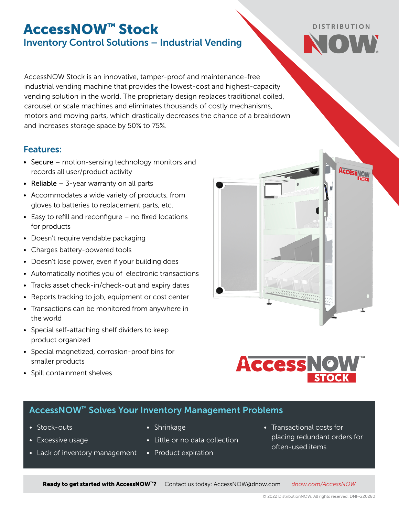## AccessNOW™ Stock Inventory Control Solutions – Industrial Vending

AccessNOW Stock is an innovative, tamper-proof and maintenance-free industrial vending machine that provides the lowest-cost and highest-capacity vending solution in the world. The proprietary design replaces traditional coiled, carousel or scale machines and eliminates thousands of costly mechanisms, motors and moving parts, which drastically decreases the chance of a breakdown and increases storage space by 50% to 75%.

### Features:

- Secure motion-sensing technology monitors and records all user/product activity
- Reliable  $-$  3-year warranty on all parts
- Accommodates a wide variety of products, from gloves to batteries to replacement parts, etc.
- Easy to refill and reconfigure no fixed locations for products
- Doesn't require vendable packaging
- Charges battery-powered tools
- Doesn't lose power, even if your building does
- Automatically notifies you of electronic transactions
- Tracks asset check-in/check-out and expiry dates
- Reports tracking to job, equipment or cost center
- Transactions can be monitored from anywhere in the world
- Special self-attaching shelf dividers to keep product organized
- Special magnetized, corrosion-proof bins for smaller products
- Spill containment shelves

# **Access NO**

allianan Ta

### AccessNOW™ Solves Your Inventory Management Problems

- Stock-outs
- Excessive usage
- Lack of inventory management
- Shrinkage
- Little or no data collection
- Product expiration
- Transactional costs for placing redundant orders for often-used items

Ready to get started with AccessNOW™? Contact us today: [AccessNOW@dnow.com](mailto:AccessNOW%40dnow.com?subject=AccessNOW%20Inquiry) *[dnow.com/](https://www.dnow.com/supply-chain-services/inventory-control)AccessNOW*



**DISTRIBUTION**